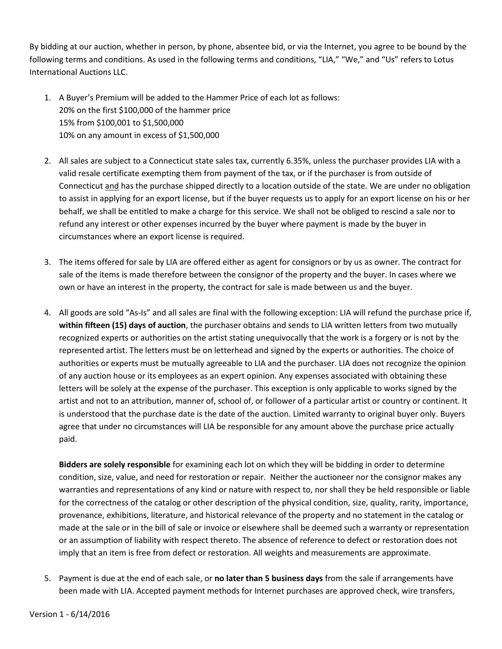By bidding at our auction, whether in person, by phone, absentee bid, or via the Internet, you agree to be bound by the following terms and conditions. As used in the following terms and conditions, "LIA," "We," and "Us" refers to Lotus International Auctions LLC.

- 1. A Buyer's Premium will be added to the Hammer Price of each lot as follows: 20% on the first \$100,000 of the hammer price 15% from \$100,001 to \$1,500,000 10% on any amount in excess of \$1,500,000
- 2. All sales are subject to a Connecticut state sales tax, currently 6.35%, unless the purchaser provides LIA with a valid resale certificate exempting them from payment of the tax, or if the purchaser is from outside of Connecticut and has the purchase shipped directly to a location outside of the state. We are under no obligation to assist in applying for an export license, but if the buyer requests us to apply for an export license on his or her behalf, we shall be entitled to make a charge for this service. We shall not be obliged to rescind a sale nor to refund any interest or other expenses incurred by the buyer where payment is made by the buyer in circumstances where an export license is required.
- 3. The items offered for sale by LIA are offered either as agent for consignors or by us as owner. The contract for sale of the items is made therefore between the consignor of the property and the buyer. In cases where we own or have an interest in the property, the contract for sale is made between us and the buyer.
- 4. All goods are sold "As-Is" and all sales are final with the following exception: LIA will refund the purchase price if, **within fifteen (15) days of auction**, the purchaser obtains and sends to LIA written letters from two mutually recognized experts or authorities on the artist stating unequivocally that the work is a forgery or is not by the represented artist. The letters must be on letterhead and signed by the experts or authorities. The choice of authorities or experts must be mutually agreeable to LIA and the purchaser. LIA does not recognize the opinion of any auction house or its employees as an expert opinion. Any expenses associated with obtaining these letters will be solely at the expense of the purchaser. This exception is only applicable to works signed by the artist and not to an attribution, manner of, school of, or follower of a particular artist or country or continent. It is understood that the purchase date is the date of the auction. Limited warranty to original buyer only. Buyers agree that under no circumstances will LIA be responsible for any amount above the purchase price actually paid.

**Bidders are solely responsible** for examining each lot on which they will be bidding in order to determine condition, size, value, and need for restoration or repair. Neither the auctioneer nor the consignor makes any warranties and representations of any kind or nature with respect to, nor shall they be held responsible or liable for the correctness of the catalog or other description of the physical condition, size, quality, rarity, importance, provenance, exhibitions, literature, and historical relevance of the property and no statement in the catalog or made at the sale or in the bill of sale or invoice or elsewhere shall be deemed such a warranty or representation or an assumption of liability with respect thereto. The absence of reference to defect or restoration does not imply that an item is free from defect or restoration. All weights and measurements are approximate.

5. Payment is due at the end of each sale, or **no later than 5 business days** from the sale if arrangements have been made with LIA. Accepted payment methods for Internet purchases are approved check, wire transfers,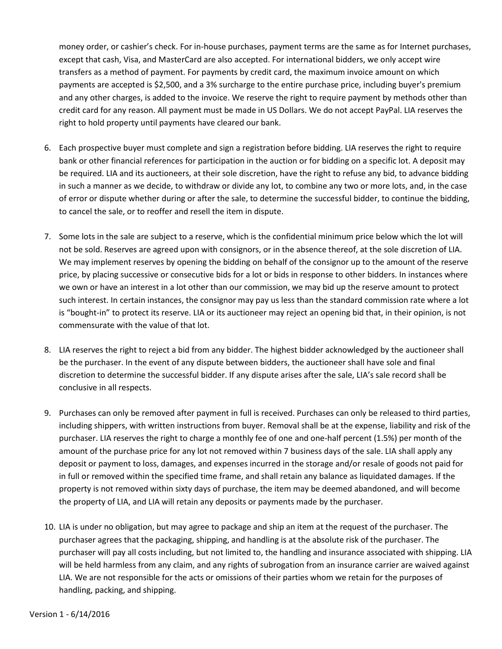money order, or cashier's check. For in-house purchases, payment terms are the same as for Internet purchases, except that cash, Visa, and MasterCard are also accepted. For international bidders, we only accept wire transfers as a method of payment. For payments by credit card, the maximum invoice amount on which payments are accepted is \$2,500, and a 3% surcharge to the entire purchase price, including buyer's premium and any other charges, is added to the invoice. We reserve the right to require payment by methods other than credit card for any reason. All payment must be made in US Dollars. We do not accept PayPal. LIA reserves the right to hold property until payments have cleared our bank.

- 6. Each prospective buyer must complete and sign a registration before bidding. LIA reserves the right to require bank or other financial references for participation in the auction or for bidding on a specific lot. A deposit may be required. LIA and its auctioneers, at their sole discretion, have the right to refuse any bid, to advance bidding in such a manner as we decide, to withdraw or divide any lot, to combine any two or more lots, and, in the case of error or dispute whether during or after the sale, to determine the successful bidder, to continue the bidding, to cancel the sale, or to reoffer and resell the item in dispute.
- 7. Some lots in the sale are subject to a reserve, which is the confidential minimum price below which the lot will not be sold. Reserves are agreed upon with consignors, or in the absence thereof, at the sole discretion of LIA. We may implement reserves by opening the bidding on behalf of the consignor up to the amount of the reserve price, by placing successive or consecutive bids for a lot or bids in response to other bidders. In instances where we own or have an interest in a lot other than our commission, we may bid up the reserve amount to protect such interest. In certain instances, the consignor may pay us less than the standard commission rate where a lot is "bought-in" to protect its reserve. LIA or its auctioneer may reject an opening bid that, in their opinion, is not commensurate with the value of that lot.
- 8. LIA reserves the right to reject a bid from any bidder. The highest bidder acknowledged by the auctioneer shall be the purchaser. In the event of any dispute between bidders, the auctioneer shall have sole and final discretion to determine the successful bidder. If any dispute arises after the sale, LIA's sale record shall be conclusive in all respects.
- 9. Purchases can only be removed after payment in full is received. Purchases can only be released to third parties, including shippers, with written instructions from buyer. Removal shall be at the expense, liability and risk of the purchaser. LIA reserves the right to charge a monthly fee of one and one-half percent (1.5%) per month of the amount of the purchase price for any lot not removed within 7 business days of the sale. LIA shall apply any deposit or payment to loss, damages, and expenses incurred in the storage and/or resale of goods not paid for in full or removed within the specified time frame, and shall retain any balance as liquidated damages. If the property is not removed within sixty days of purchase, the item may be deemed abandoned, and will become the property of LIA, and LIA will retain any deposits or payments made by the purchaser.
- 10. LIA is under no obligation, but may agree to package and ship an item at the request of the purchaser. The purchaser agrees that the packaging, shipping, and handling is at the absolute risk of the purchaser. The purchaser will pay all costs including, but not limited to, the handling and insurance associated with shipping. LIA will be held harmless from any claim, and any rights of subrogation from an insurance carrier are waived against LIA. We are not responsible for the acts or omissions of their parties whom we retain for the purposes of handling, packing, and shipping.